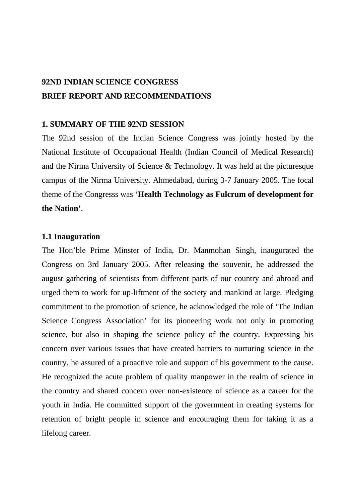# **92ND INDIAN SCIENCE CONGRESS BRIEF REPORT AND RECOMMENDATIONS**

### **1. SUMMARY OF THE 92ND SESSION**

The 92nd session of the Indian Science Congress was jointly hosted by the National Institute of Occupational Health (Indian Council of Medical Research) and the Nirma University of Science & Technology. It was held at the picturesque campus of the Nirma University. Ahmedabad, during 3-7 January 2005. The focal theme of the Congresss was '**Health Technology as Fulcrum of development for the Nation'**.

#### **1.1 Inauguration**

The Hon'ble Prime Minster of India, Dr. Manmohan Singh, inaugurated the Congress on 3rd January 2005. After releasing the souvenir, he addressed the august gathering of scientists from different parts of our country and abroad and urged them to work for up-liftment of the society and mankind at large. Pledging commitment to the promotion of science, he acknowledged the role of 'The Indian Science Congress Association' for its pioneering work not only in promoting science, but also in shaping the science policy of the country. Expressing his concern over various issues that have created barriers to nurturing science in the country, he assured of a proactive role and support of his government to the cause. He recognized the acute problem of quality manpower in the realm of science in the country and shared concern over non-existence of science as a career for the youth in India. He committed support of the government in creating systems for retention of bright people in science and encouraging them for taking it as a lifelong career.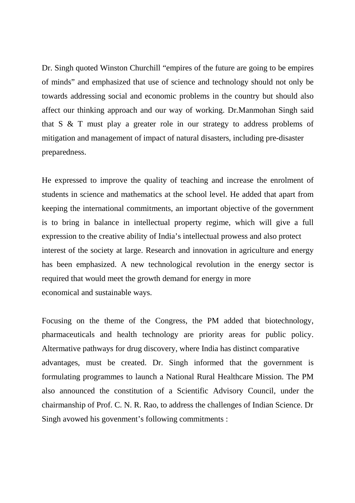Dr. Singh quoted Winston Churchill "empires of the future are going to be empires of minds" and emphasized that use of science and technology should not only be towards addressing social and economic problems in the country but should also affect our thinking approach and our way of working. Dr.Manmohan Singh said that S & T must play a greater role in our strategy to address problems of mitigation and management of impact of natural disasters, including pre-disaster preparedness.

He expressed to improve the quality of teaching and increase the enrolment of students in science and mathematics at the school level. He added that apart from keeping the international commitments, an important objective of the government is to bring in balance in intellectual property regime, which will give a full expression to the creative ability of India's intellectual prowess and also protect interest of the society at large. Research and innovation in agriculture and energy has been emphasized. A new technological revolution in the energy sector is required that would meet the growth demand for energy in more economical and sustainable ways.

Focusing on the theme of the Congress, the PM added that biotechnology, pharmaceuticals and health technology are priority areas for public policy. Altermative pathways for drug discovery, where India has distinct comparative advantages, must be created. Dr. Singh informed that the government is formulating programmes to launch a National Rural Healthcare Mission. The PM also announced the constitution of a Scientific Advisory Council, under the chairmanship of Prof. C. N. R. Rao, to address the challenges of Indian Science. Dr Singh avowed his govenment's following commitments :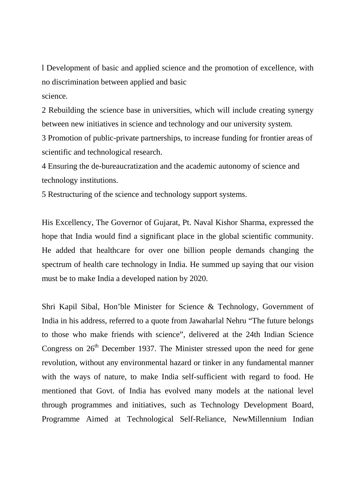l Development of basic and applied science and the promotion of excellence, with no discrimination between applied and basic science.

2 Rebuilding the science base in universities, which will include creating synergy between new initiatives in science and technology and our university system.

3 Promotion of public-private partnerships, to increase funding for frontier areas of scientific and technological research.

4 Ensuring the de-bureaucratization and the academic autonomy of science and technology institutions.

5 Restructuring of the science and technology support systems.

His Excellency, The Governor of Gujarat, Pt. Naval Kishor Sharma, expressed the hope that India would find a significant place in the global scientific community. He added that healthcare for over one billion people demands changing the spectrum of health care technology in India. He summed up saying that our vision must be to make India a developed nation by 2020.

Shri Kapil Sibal, Hon'ble Minister for Science & Technology, Government of India in his address, referred to a quote from Jawaharlal Nehru "The future belongs to those who make friends with science", delivered at the 24th Indian Science Congress on  $26<sup>th</sup>$  December 1937. The Minister stressed upon the need for gene revolution, without any environmental hazard or tinker in any fundamental manner with the ways of nature, to make India self-sufficient with regard to food. He mentioned that Govt. of India has evolved many models at the national level through programmes and initiatives, such as Technology Development Board, Programme Aimed at Technological Self-Reliance, NewMillennium Indian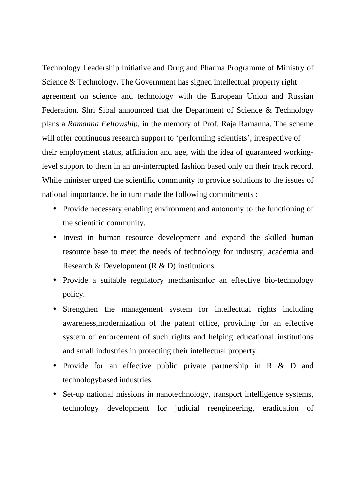Technology Leadership Initiative and Drug and Pharma Programme of Ministry of Science & Technology. The Government has signed intellectual property right agreement on science and technology with the European Union and Russian Federation. Shri Sibal announced that the Department of Science & Technology plans a *Ramanna Fellowship*, in the memory of Prof. Raja Ramanna. The scheme will offer continuous research support to 'performing scientists', irrespective of their employment status, affiliation and age, with the idea of guaranteed workinglevel support to them in an un-interrupted fashion based only on their track record. While minister urged the scientific community to provide solutions to the issues of national importance, he in turn made the following commitments :

- Provide necessary enabling environment and autonomy to the functioning of the scientific community.
- Invest in human resource development and expand the skilled human resource base to meet the needs of technology for industry, academia and Research & Development (R & D) institutions.
- Provide a suitable regulatory mechanismfor an effective bio-technology policy.
- Strengthen the management system for intellectual rights including awareness,modernization of the patent office, providing for an effective system of enforcement of such rights and helping educational institutions and small industries in protecting their intellectual property.
- Provide for an effective public private partnership in R & D and technologybased industries.
- Set-up national missions in nanotechnology, transport intelligence systems, technology development for judicial reengineering, eradication of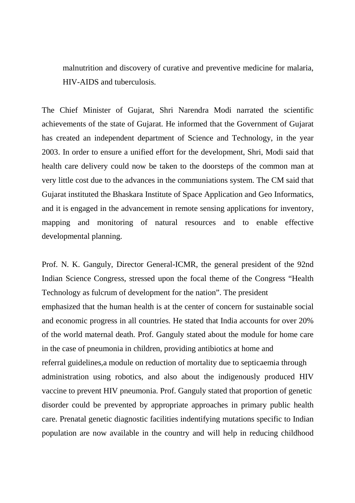malnutrition and discovery of curative and preventive medicine for malaria, HIV-AIDS and tuberculosis.

The Chief Minister of Gujarat, Shri Narendra Modi narrated the scientific achievements of the state of Gujarat. He informed that the Government of Gujarat has created an independent department of Science and Technology, in the year 2003. In order to ensure a unified effort for the development, Shri, Modi said that health care delivery could now be taken to the doorsteps of the common man at very little cost due to the advances in the communiations system. The CM said that Gujarat instituted the Bhaskara Institute of Space Application and Geo Informatics, and it is engaged in the advancement in remote sensing applications for inventory, mapping and monitoring of natural resources and to enable effective developmental planning.

Prof. N. K. Ganguly, Director General-ICMR, the general president of the 92nd Indian Science Congress, stressed upon the focal theme of the Congress "Health Technology as fulcrum of development for the nation". The president emphasized that the human health is at the center of concern for sustainable social and economic progress in all countries. He stated that India accounts for over 20% of the world maternal death. Prof. Ganguly stated about the module for home care in the case of pneumonia in children, providing antibiotics at home and referral guidelines,a module on reduction of mortality due to septicaemia through administration using robotics, and also about the indigenously produced HIV vaccine to prevent HIV pneumonia. Prof. Ganguly stated that proportion of genetic disorder could be prevented by appropriate approaches in primary public health care. Prenatal genetic diagnostic facilities indentifying mutations specific to Indian population are now available in the country and will help in reducing childhood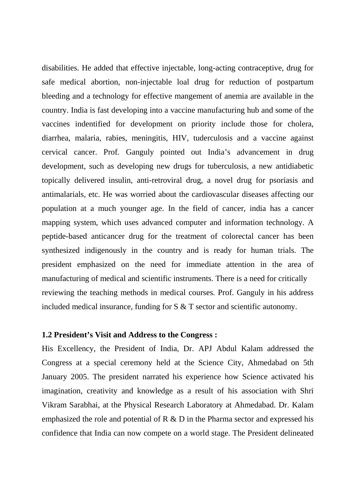disabilities. He added that effective injectable, long-acting contraceptive, drug for safe medical abortion, non-injectable loal drug for reduction of postpartum bleeding and a technology for effective mangement of anemia are available in the country. India is fast developing into a vaccine manufacturing hub and some of the vaccines indentified for development on priority include those for cholera, diarrhea, malaria, rabies, meningitis, HIV, tuderculosis and a vaccine against cervical cancer. Prof. Ganguly pointed out India's advancement in drug development, such as developing new drugs for tuberculosis, a new antidiabetic topically delivered insulin, anti-retroviral drug, a novel drug for psoriasis and antimalarials, etc. He was worried about the cardiovascular diseases affecting our population at a much younger age. In the field of cancer, india has a cancer mapping system, which uses advanced computer and information technology. A peptide-based anticancer drug for the treatment of colorectal cancer has been synthesized indigenously in the country and is ready for human trials. The president emphasized on the need for immediate attention in the area of manufacturing of medical and scientific instruments. There is a need for critically reviewing the teaching methods in medical courses. Prof. Ganguly in his address included medical insurance, funding for S & T sector and scientific autonomy.

### **1.2 President's Visit and Address to the Congress :**

His Excellency, the President of India, Dr. APJ Abdul Kalam addressed the Congress at a special ceremony held at the Science City, Ahmedabad on 5th January 2005. The president narrated his experience how Science activated his imagination, creativity and knowledge as a result of his association with Shri Vikram Sarabhai, at the Physical Research Laboratory at Ahmedabad. Dr. Kalam emphasized the role and potential of R & D in the Pharma sector and expressed his confidence that India can now compete on a world stage. The President delineated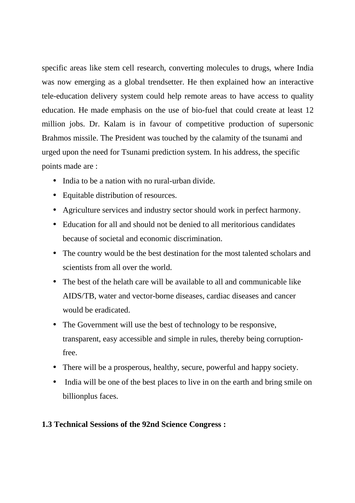specific areas like stem cell research, converting molecules to drugs, where India was now emerging as a global trendsetter. He then explained how an interactive tele-education delivery system could help remote areas to have access to quality education. He made emphasis on the use of bio-fuel that could create at least 12 million jobs. Dr. Kalam is in favour of competitive production of supersonic Brahmos missile. The President was touched by the calamity of the tsunami and urged upon the need for Tsunami prediction system. In his address, the specific points made are :

- India to be a nation with no rural-urban divide.
- Equitable distribution of resources.
- Agriculture services and industry sector should work in perfect harmony.
- Education for all and should not be denied to all meritorious candidates because of societal and economic discrimination.
- The country would be the best destination for the most talented scholars and scientists from all over the world.
- The best of the helath care will be available to all and communicable like AIDS/TB, water and vector-borne diseases, cardiac diseases and cancer would be eradicated.
- The Government will use the best of technology to be responsive, transparent, easy accessible and simple in rules, thereby being corruptionfree.
- There will be a prosperous, healthy, secure, powerful and happy society.
- India will be one of the best places to live in on the earth and bring smile on billionplus faces.

# **1.3 Technical Sessions of the 92nd Science Congress :**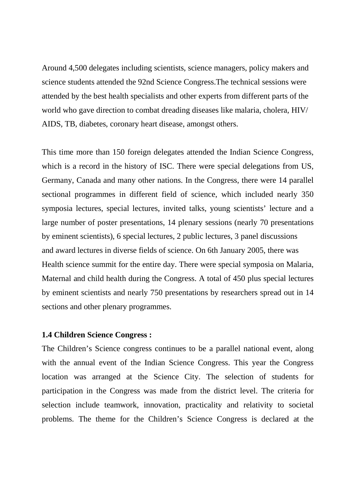Around 4,500 delegates including scientists, science managers, policy makers and science students attended the 92nd Science Congress.The technical sessions were attended by the best health specialists and other experts from different parts of the world who gave direction to combat dreading diseases like malaria, cholera, HIV/ AIDS, TB, diabetes, coronary heart disease, amongst others.

This time more than 150 foreign delegates attended the Indian Science Congress, which is a record in the history of ISC. There were special delegations from US, Germany, Canada and many other nations. In the Congress, there were 14 parallel sectional programmes in different field of science, which included nearly 350 symposia lectures, special lectures, invited talks, young scientists' lecture and a large number of poster presentations, 14 plenary sessions (nearly 70 presentations by eminent scientists), 6 special lectures, 2 public lectures, 3 panel discussions and award lectures in diverse fields of science. On 6th January 2005, there was Health science summit for the entire day. There were special symposia on Malaria, Maternal and child health during the Congress. A total of 450 plus special lectures by eminent scientists and nearly 750 presentations by researchers spread out in 14 sections and other plenary programmes.

### **1.4 Children Science Congress :**

The Children's Science congress continues to be a parallel national event, along with the annual event of the Indian Science Congress. This year the Congress location was arranged at the Science City. The selection of students for participation in the Congress was made from the district level. The criteria for selection include teamwork, innovation, practicality and relativity to societal problems. The theme for the Children's Science Congress is declared at the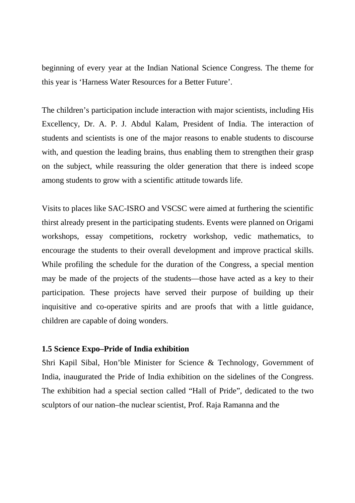beginning of every year at the Indian National Science Congress. The theme for this year is 'Harness Water Resources for a Better Future'.

The children's participation include interaction with major scientists, including His Excellency, Dr. A. P. J. Abdul Kalam, President of India. The interaction of students and scientists is one of the major reasons to enable students to discourse with, and question the leading brains, thus enabling them to strengthen their grasp on the subject, while reassuring the older generation that there is indeed scope among students to grow with a scientific attitude towards life.

Visits to places like SAC-ISRO and VSCSC were aimed at furthering the scientific thirst already present in the participating students. Events were planned on Origami workshops, essay competitions, rocketry workshop, vedic mathematics, to encourage the students to their overall development and improve practical skills. While profiling the schedule for the duration of the Congress, a special mention may be made of the projects of the students—those have acted as a key to their participation. These projects have served their purpose of building up their inquisitive and co-operative spirits and are proofs that with a little guidance, children are capable of doing wonders.

## **1.5 Science Expo–Pride of India exhibition**

Shri Kapil Sibal, Hon'ble Minister for Science & Technology, Government of India, inaugurated the Pride of India exhibition on the sidelines of the Congress. The exhibition had a special section called "Hall of Pride", dedicated to the two sculptors of our nation–the nuclear scientist, Prof. Raja Ramanna and the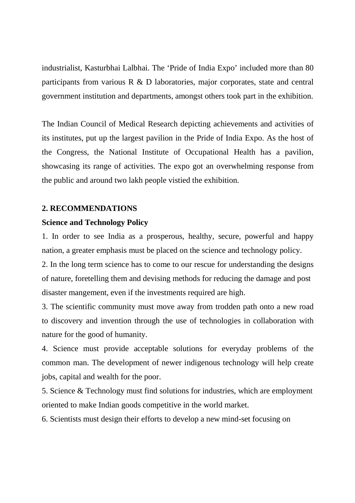industrialist, Kasturbhai Lalbhai. The 'Pride of India Expo' included more than 80 participants from various R & D laboratories, major corporates, state and central government institution and departments, amongst others took part in the exhibition.

The Indian Council of Medical Research depicting achievements and activities of its institutes, put up the largest pavilion in the Pride of India Expo. As the host of the Congress, the National Institute of Occupational Health has a pavilion, showcasing its range of activities. The expo got an overwhelming response from the public and around two lakh people vistied the exhibition.

# **2. RECOMMENDATIONS**

# **Science and Technology Policy**

1. In order to see India as a prosperous, healthy, secure, powerful and happy nation, a greater emphasis must be placed on the science and technology policy.

2. In the long term science has to come to our rescue for understanding the designs of nature, foretelling them and devising methods for reducing the damage and post disaster mangement, even if the investments required are high.

3. The scientific community must move away from trodden path onto a new road to discovery and invention through the use of technologies in collaboration with nature for the good of humanity.

4. Science must provide acceptable solutions for everyday problems of the common man. The development of newer indigenous technology will help create jobs, capital and wealth for the poor.

5. Science & Technology must find solutions for industries, which are employment oriented to make Indian goods competitive in the world market.

6. Scientists must design their efforts to develop a new mind-set focusing on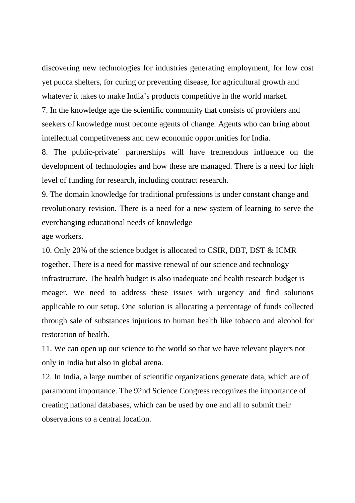discovering new technologies for industries generating employment, for low cost yet pucca shelters, for curing or preventing disease, for agricultural growth and whatever it takes to make India's products competitive in the world market.

7. In the knowledge age the scientific community that consists of providers and seekers of knowledge must become agents of change. Agents who can bring about intellectual competitveness and new economic opportunities for India.

8. The public-private' partnerships will have tremendous influence on the development of technologies and how these are managed. There is a need for high level of funding for research, including contract research.

9. The domain knowledge for traditional professions is under constant change and revolutionary revision. There is a need for a new system of learning to serve the everchanging educational needs of knowledge

age workers.

10. Only 20% of the science budget is allocated to CSIR, DBT, DST & ICMR together. There is a need for massive renewal of our science and technology infrastructure. The health budget is also inadequate and health research budget is meager. We need to address these issues with urgency and find solutions applicable to our setup. One solution is allocating a percentage of funds collected through sale of substances injurious to human health like tobacco and alcohol for restoration of health.

11. We can open up our science to the world so that we have relevant players not only in India but also in global arena.

12. In India, a large number of scientific organizations generate data, which are of paramount importance. The 92nd Science Congress recognizes the importance of creating national databases, which can be used by one and all to submit their observations to a central location.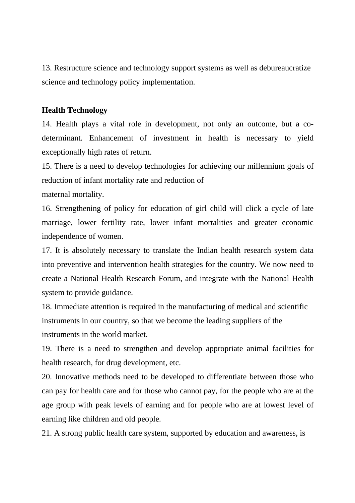13. Restructure science and technology support systems as well as debureaucratize science and technology policy implementation.

## **Health Technology**

14. Health plays a vital role in development, not only an outcome, but a codeterminant. Enhancement of investment in health is necessary to yield exceptionally high rates of return.

15. There is a need to develop technologies for achieving our millennium goals of reduction of infant mortality rate and reduction of

maternal mortality.

16. Strengthening of policy for education of girl child will click a cycle of late marriage, lower fertility rate, lower infant mortalities and greater economic independence of women.

17. It is absolutely necessary to translate the Indian health research system data into preventive and intervention health strategies for the country. We now need to create a National Health Research Forum, and integrate with the National Health system to provide guidance.

18. Immediate attention is required in the manufacturing of medical and scientific instruments in our country, so that we become the leading suppliers of the instruments in the world market.

19. There is a need to strengthen and develop appropriate animal facilities for health research, for drug development, etc.

20. Innovative methods need to be developed to differentiate between those who can pay for health care and for those who cannot pay, for the people who are at the age group with peak levels of earning and for people who are at lowest level of earning like children and old people.

21. A strong public health care system, supported by education and awareness, is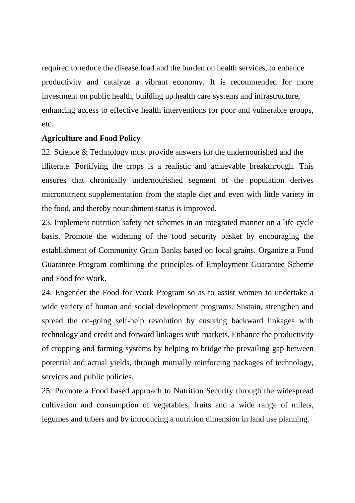required to reduce the disease load and the burden on health services, to enhance productivity and catalyze a vibrant economy. It is recommended for more investment on public health, building up health care systems and infrastructure, enhancing access to effective health interventions for poor and vulnerable groups, etc.

# **Agriculture and Food Policy**

22. Science & Technology must provide answers for the undernourished and the illiterate. Fortifying the crops is a realistic and achievable breakthrough. This ensures that chronically undernourished segment of the population derives micronutrient supplementation from the staple diet and even with little variety in the food, and thereby nourishment status is improved.

23. Implement nutrition safety net schemes in an integrated manner on a life-cycle basis. Promote the widening of the food security basket by encouraging the establishment of Community Grain Banks based on local grains. Organize a Food Guarantee Program combining the principles of Employment Guarantee Scheme and Food for Work.

24. Engender the Food for Work Program so as to assist women to undertake a wide variety of human and social development programs. Sustain, strengthen and spread the on-going self-help revolution by ensuring backward linkages with technology and credit and forward linkages with markets. Enhance the productivity of cropping and farming systems by helping to bridge the prevailing gap between potential and actual yields, through mutually reinforcing packages of technology, services and public policies.

25. Promote a Food based approach to Nutrition Security through the widespread cultivation and consumption of vegetables, fruits and a wide range of milets, legumes and tubers and by introducing a nutrition dimension in land use planning.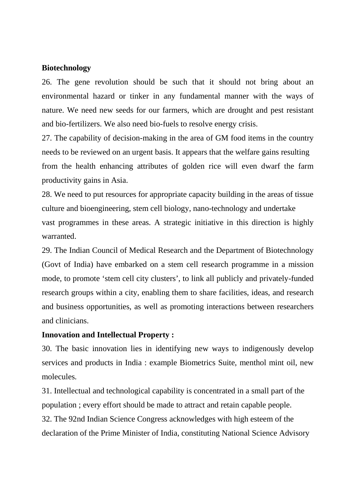### **Biotechnology**

26. The gene revolution should be such that it should not bring about an environmental hazard or tinker in any fundamental manner with the ways of nature. We need new seeds for our farmers, which are drought and pest resistant and bio-fertilizers. We also need bio-fuels to resolve energy crisis.

27. The capability of decision-making in the area of GM food items in the country needs to be reviewed on an urgent basis. It appears that the welfare gains resulting from the health enhancing attributes of golden rice will even dwarf the farm productivity gains in Asia.

28. We need to put resources for appropriate capacity building in the areas of tissue culture and bioengineering, stem cell biology, nano-technology and undertake vast programmes in these areas. A strategic initiative in this direction is highly warranted.

29. The Indian Council of Medical Research and the Department of Biotechnology (Govt of India) have embarked on a stem cell research programme in a mission mode, to promote 'stem cell city clusters', to link all publicly and privately-funded research groups within a city, enabling them to share facilities, ideas, and research and business opportunities, as well as promoting interactions between researchers and clinicians.

## **Innovation and Intellectual Property :**

30. The basic innovation lies in identifying new ways to indigenously develop services and products in India : example Biometrics Suite, menthol mint oil, new molecules.

31. Intellectual and technological capability is concentrated in a small part of the population ; every effort should be made to attract and retain capable people. 32. The 92nd Indian Science Congress acknowledges with high esteem of the declaration of the Prime Minister of India, constituting National Science Advisory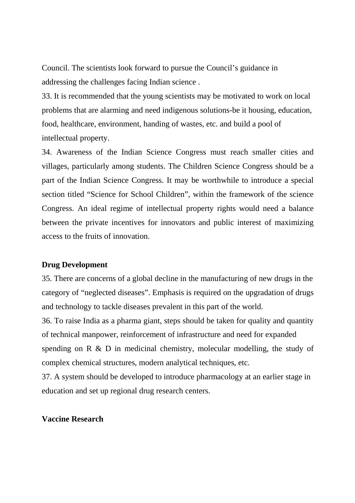Council. The scientists look forward to pursue the Council's guidance in addressing the challenges facing Indian science .

33. It is recommended that the young scientists may be motivated to work on local problems that are alarming and need indigenous solutions-be it housing, education, food, healthcare, environment, handing of wastes, etc. and build a pool of intellectual property.

34. Awareness of the Indian Science Congress must reach smaller cities and villages, particularly among students. The Children Science Congress should be a part of the Indian Science Congress. It may be worthwhile to introduce a special section titled "Science for School Children", within the framework of the science Congress. An ideal regime of intellectual property rights would need a balance between the private incentives for innovators and public interest of maximizing access to the fruits of innovation.

### **Drug Development**

35. There are concerns of a global decline in the manufacturing of new drugs in the category of "neglected diseases". Emphasis is required on the upgradation of drugs and technology to tackle diseases prevalent in this part of the world.

36. To raise India as a pharma giant, steps should be taken for quality and quantity of technical manpower, reinforcement of infrastructure and need for expanded spending on R & D in medicinal chemistry, molecular modelling, the study of complex chemical structures, modern analytical techniques, etc.

37. A system should be developed to introduce pharmacology at an earlier stage in education and set up regional drug research centers.

#### **Vaccine Research**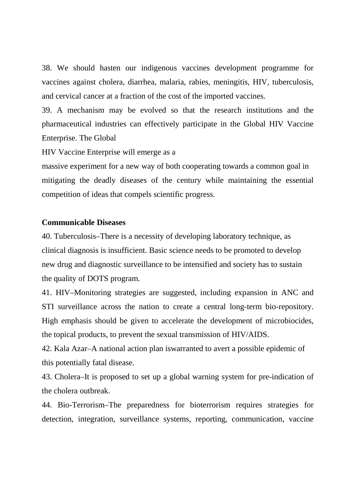38. We should hasten our indigenous vaccines development programme for vaccines against cholera, diarrhea, malaria, rabies, meningitis, HIV, tuberculosis, and cervical cancer at a fraction of the cost of the imported vaccines.

39. A mechanism may be evolved so that the research institutions and the pharmaceutical industries can effectively participate in the Global HIV Vaccine Enterprise. The Global

HIV Vaccine Enterprise will emerge as a

massive experiment for a new way of both cooperating towards a common goal in mitigating the deadly diseases of the century while maintaining the essential competition of ideas that compels scientific progress.

### **Communicable Diseases**

40. Tuberculosis–There is a necessity of developing laboratory technique, as clinical diagnosis is insufficient. Basic science needs to be promoted to develop new drug and diagnostic surveillance to be intensified and society has to sustain the quality of DOTS program.

41. HIV–Monitoring strategies are suggested, including expansion in ANC and STI surveillance across the nation to create a central long-term bio-repository. High emphasis should be given to accelerate the development of microbiocides, the topical products, to prevent the sexual transmission of HIV/AIDS.

42. Kala Azar–A national action plan iswarranted to avert a possible epidemic of this potentially fatal disease.

43. Cholera–It is proposed to set up a global warning system for pre-indication of the cholera outbreak.

44. Bio-Terrorism–The preparedness for bioterrorism requires strategies for detection, integration, surveillance systems, reporting, communication, vaccine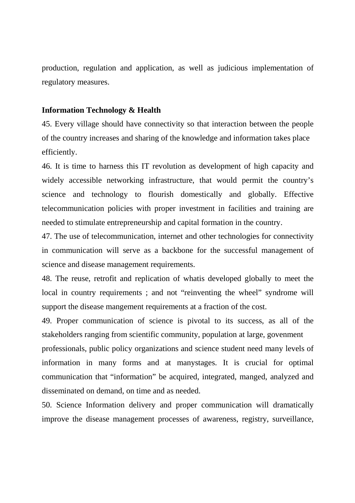production, regulation and application, as well as judicious implementation of regulatory measures.

### **Information Technology & Health**

45. Every village should have connectivity so that interaction between the people of the country increases and sharing of the knowledge and information takes place efficiently.

46. It is time to harness this IT revolution as development of high capacity and widely accessible networking infrastructure, that would permit the country's science and technology to flourish domestically and globally. Effective telecommunication policies with proper investment in facilities and training are needed to stimulate entrepreneurship and capital formation in the country.

47. The use of telecommunication, internet and other technologies for connectivity in communication will serve as a backbone for the successful management of science and disease management requirements.

48. The reuse, retrofit and replication of whatis developed globally to meet the local in country requirements ; and not "reinventing the wheel" syndrome will support the disease mangement requirements at a fraction of the cost.

49. Proper communication of science is pivotal to its success, as all of the stakeholders ranging from scientific community, population at large, govenment professionals, public policy organizations and science student need many levels of information in many forms and at manystages. It is crucial for optimal communication that "information" be acquired, integrated, manged, analyzed and

50. Science Information delivery and proper communication will dramatically improve the disease management processes of awareness, registry, surveillance,

disseminated on demand, on time and as needed.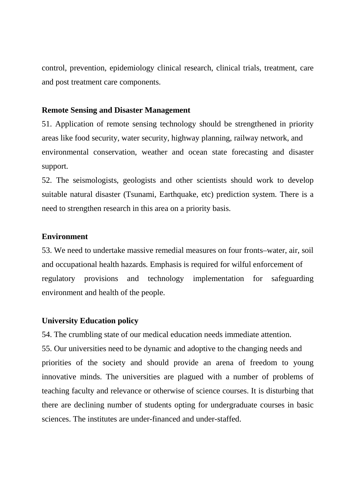control, prevention, epidemiology clinical research, clinical trials, treatment, care and post treatment care components.

### **Remote Sensing and Disaster Management**

51. Application of remote sensing technology should be strengthened in priority areas like food security, water security, highway planning, railway network, and environmental conservation, weather and ocean state forecasting and disaster support.

52. The seismologists, geologists and other scientists should work to develop suitable natural disaster (Tsunami, Earthquake, etc) prediction system. There is a need to strengthen research in this area on a priority basis.

#### **Environment**

53. We need to undertake massive remedial measures on four fronts–water, air, soil and occupational health hazards. Emphasis is required for wilful enforcement of regulatory provisions and technology implementation for safeguarding environment and health of the people.

### **University Education policy**

54. The crumbling state of our medical education needs immediate attention. 55. Our universities need to be dynamic and adoptive to the changing needs and priorities of the society and should provide an arena of freedom to young innovative minds. The universities are plagued with a number of problems of teaching faculty and relevance or otherwise of science courses. It is disturbing that there are declining number of students opting for undergraduate courses in basic sciences. The institutes are under-financed and under-staffed.